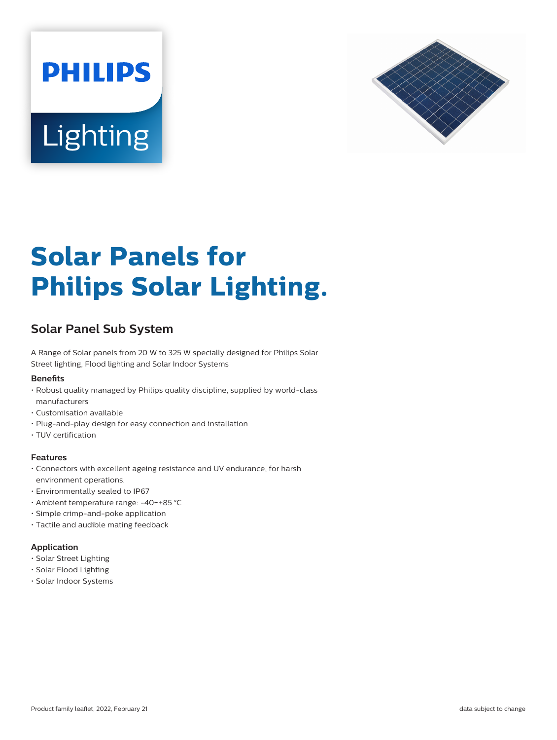



# **Solar Panels for Philips Solar Lighting.**

# **Solar Panel Sub System**

A Range of Solar panels from 20 W to 325 W specially designed for Philips Solar Street lighting, Flood lighting and Solar Indoor Systems

#### **Benets**

- Robust quality managed by Philips quality discipline, supplied by world-class manufacturers
- Customisation available
- Plug-and-play design for easy connection and installation
- TUV certification

#### **Features**

- Connectors with excellent ageing resistance and UV endurance, for harsh environment operations.
- Environmentally sealed to IP67
- Ambient temperature range: -40~+85 °C
- Simple crimp-and-poke application
- Tactile and audible mating feedback

# **Application**

- Solar Street Lighting
- Solar Flood Lighting
- Solar Indoor Systems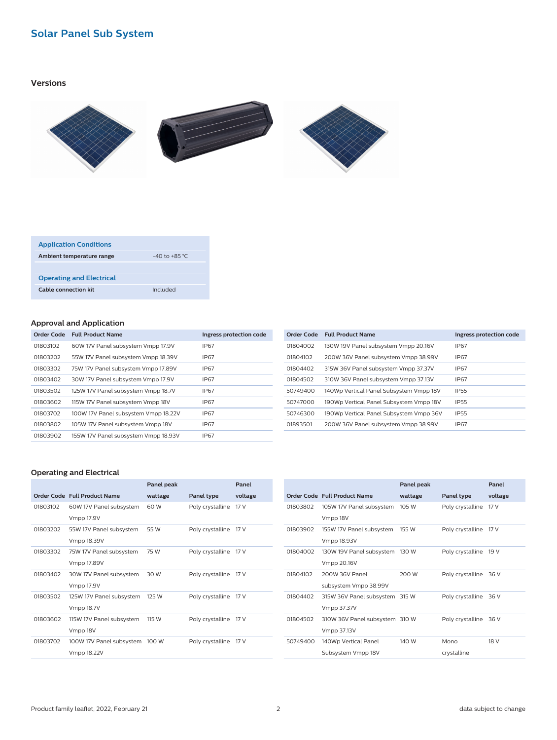# **Solar Panel Sub System**

# **Versions**



| <b>Application Conditions</b>   |                   |
|---------------------------------|-------------------|
| Ambient temperature range       | $-40$ to $+85$ °C |
|                                 |                   |
| <b>Operating and Electrical</b> |                   |
| Cable connection kit            | Included          |

### **Approval and Application**

| Order Code | <b>Full Product Name</b>             | Ingress protection code |
|------------|--------------------------------------|-------------------------|
| 01803102   | 60W 17V Panel subsystem Vmpp 17.9V   | <b>IP67</b>             |
| 01803202   | 55W 17V Panel subsystem Vmpp 18.39V  | IP67                    |
| 01803302   | 75W 17V Panel subsystem Vmpp 17.89V  | <b>IP67</b>             |
| 01803402   | 30W 17V Panel subsystem Vmpp 17.9V   | <b>IP67</b>             |
| 01803502   | 125W 17V Panel subsystem Vmpp 18.7V  | <b>IP67</b>             |
| 01803602   | 115W 17V Panel subsystem Vmpp 18V    | <b>IP67</b>             |
| 01803702   | 100W 17V Panel subsystem Vmpp 18.22V | <b>IP67</b>             |
| 01803802   | 105W 17V Panel subsystem Vmpp 18V    | <b>IP67</b>             |
| 01803902   | 155W 17V Panel subsystem Vmpp 18.93V | <b>IP67</b>             |

| Order Code | <b>Full Product Name</b>                | Ingress protection code |
|------------|-----------------------------------------|-------------------------|
| 01804002   | 130W 19V Panel subsystem Vmpp 20.16V    | IP67                    |
| 01804102   | 200W 36V Panel subsystem Vmpp 38.99V    | <b>IP67</b>             |
| 01804402   | 315W 36V Panel subsystem Vmpp 37.37V    | IP67                    |
| 01804502   | 310W 36V Panel subsystem Vmpp 37.13V    | <b>IP67</b>             |
| 50749400   | 140Wp Vertical Panel Subsystem Vmpp 18V | <b>IP55</b>             |
| 50747000   | 190Wp Vertical Panel Subsystem Vmpp 18V | <b>IP55</b>             |
| 50746300   | 190Wp Vertical Panel Subsystem Vmpp 36V | <b>IP55</b>             |
| 01893501   | 200W 36V Panel subsystem Vmpp 38.99V    | IP67                    |

## **Operating and Electrical**

|          |                              | Panel peak |                  | Panel   |
|----------|------------------------------|------------|------------------|---------|
|          | Order Code Full Product Name | wattage    | Panel type       | voltage |
| 01803102 | 60W 17V Panel subsystem      | 60 W       | Poly crystalline | 17 V    |
|          | <b>Vmpp 17.9V</b>            |            |                  |         |
| 01803202 | 55W 17V Panel subsystem      | 55 W       | Poly crystalline | 17 V    |
|          | Vmpp 18.39V                  |            |                  |         |
| 01803302 | 75W 17V Panel subsystem      | 75 W       | Poly crystalline | 17 V    |
|          | Vmpp 17.89V                  |            |                  |         |
| 01803402 | 30W 17V Panel subsystem      | 30 W       | Poly crystalline | 17 V    |
|          | <b>Vmpp 17.9V</b>            |            |                  |         |
| 01803502 | 125W 17V Panel subsystem     | 125 W      | Poly crystalline | 17 V    |
|          | Vmpp 18.7V                   |            |                  |         |
| 01803602 | 115W 17V Panel subsystem     | 115 W      | Poly crystalline | 17 V    |
|          | Vmpp 18V                     |            |                  |         |
| 01803702 | 100W 17V Panel subsystem     | 100 W      | Poly crystalline | 17 V    |
|          | Vmpp 18.22V                  |            |                  |         |
|          |                              |            |                  |         |

|          |                                | Panel peak |                       | Panel           |
|----------|--------------------------------|------------|-----------------------|-----------------|
|          | Order Code Full Product Name   | wattage    | Panel type            | voltage         |
| 01803802 | 105W 17V Panel subsystem       | 105 W      | Poly crystalline      | 17 <sub>V</sub> |
|          | Vmpp 18V                       |            |                       |                 |
| 01803902 | 155W 17V Panel subsystem       | 155 W      | Poly crystalline      | 17 V            |
|          | Vmpp 18.93V                    |            |                       |                 |
| 01804002 | 130W 19V Panel subsystem       | 130 W      | Poly crystalline      | 19 V            |
|          | Vmpp 20.16V                    |            |                       |                 |
| 01804102 | 200W 36V Panel                 | 200 W      | Poly crystalline 36 V |                 |
|          | subsystem Vmpp 38.99V          |            |                       |                 |
| 01804402 | 315W 36V Panel subsystem 315 W |            | Poly crystalline 36 V |                 |
|          | Vmpp 37.37V                    |            |                       |                 |
| 01804502 | 310W 36V Panel subsystem 310 W |            | Poly crystalline      | 36 V            |
|          | Vmpp 37.13V                    |            |                       |                 |
| 50749400 | 140Wp Vertical Panel           | 140 W      | Mono                  | 18 V            |
|          | Subsystem Vmpp 18V             |            | crystalline           |                 |